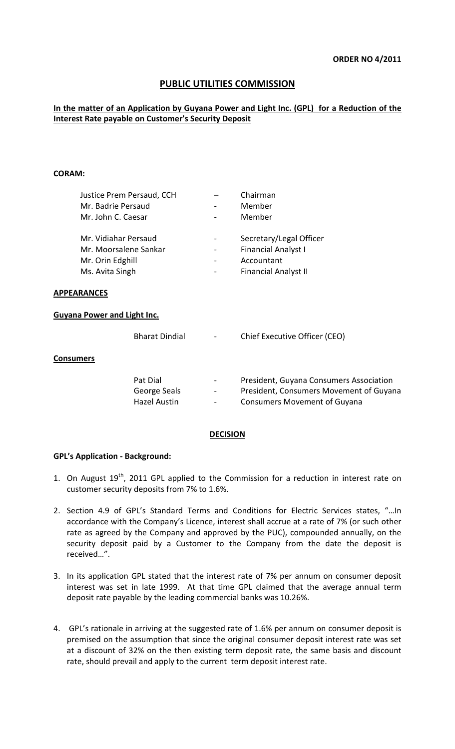# **PUBLIC UTILITIES COMMISSION**

## **In the matter of an Application by Guyana Power and Light Inc. (GPL) for a Reduction of the Interest Rate payable on Customer's Security Deposit**

#### **CORAM:**

| Justice Prem Persaud, CCH | Chairman                    |
|---------------------------|-----------------------------|
| Mr. Badrie Persaud        | Member                      |
| Mr. John C. Caesar        | Member                      |
| Mr. Vidiahar Persaud      | Secretary/Legal Officer     |
| Mr. Moorsalene Sankar     | <b>Financial Analyst I</b>  |
| Mr. Orin Edghill          | Accountant                  |
| Ms. Avita Singh           | <b>Financial Analyst II</b> |

#### **APPEARANCES**

#### **Guyana Power and Light Inc.**

|                  | <b>Bharat Dindial</b>                           | ÷,                                                          | Chief Executive Officer (CEO)                                                                                             |
|------------------|-------------------------------------------------|-------------------------------------------------------------|---------------------------------------------------------------------------------------------------------------------------|
| <b>Consumers</b> |                                                 |                                                             |                                                                                                                           |
|                  | Pat Dial<br>George Seals<br><b>Hazel Austin</b> | $\blacksquare$<br>$\overline{\phantom{a}}$<br>$\frac{1}{2}$ | President, Guyana Consumers Association<br>President, Consumers Movement of Guyana<br><b>Consumers Movement of Guyana</b> |

### **DECISION**

#### **GPL's Application - Background:**

- 1. On August  $19^{th}$ , 2011 GPL applied to the Commission for a reduction in interest rate on customer security deposits from 7% to 1.6%.
- 2. Section 4.9 of GPL's Standard Terms and Conditions for Electric Services states, "…In accordance with the Company's Licence, interest shall accrue at a rate of 7% (or such other rate as agreed by the Company and approved by the PUC), compounded annually, on the security deposit paid by a Customer to the Company from the date the deposit is received…".
- 3. In its application GPL stated that the interest rate of 7% per annum on consumer deposit interest was set in late 1999. At that time GPL claimed that the average annual term deposit rate payable by the leading commercial banks was 10.26%.
- 4. GPL's rationale in arriving at the suggested rate of 1.6% per annum on consumer deposit is premised on the assumption that since the original consumer deposit interest rate was set at a discount of 32% on the then existing term deposit rate, the same basis and discount rate, should prevail and apply to the current term deposit interest rate.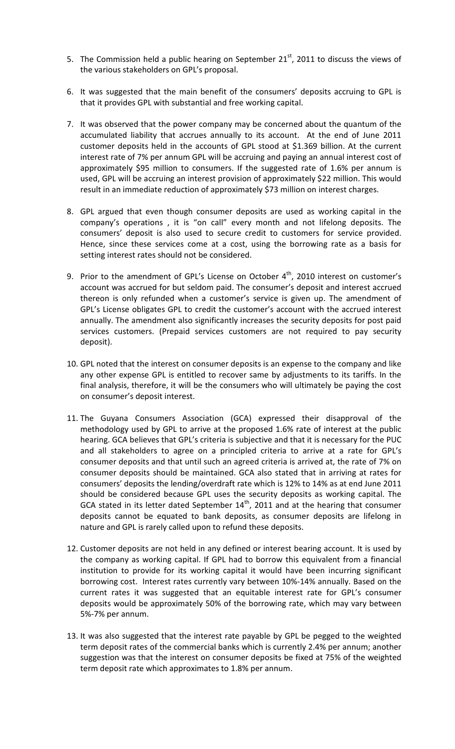- 5. The Commission held a public hearing on September  $21^{st}$ , 2011 to discuss the views of the various stakeholders on GPL's proposal.
- 6. It was suggested that the main benefit of the consumers' deposits accruing to GPL is that it provides GPL with substantial and free working capital.
- 7. It was observed that the power company may be concerned about the quantum of the accumulated liability that accrues annually to its account. At the end of June 2011 customer deposits held in the accounts of GPL stood at \$1.369 billion. At the current interest rate of 7% per annum GPL will be accruing and paying an annual interest cost of approximately \$95 million to consumers. If the suggested rate of 1.6% per annum is used, GPL will be accruing an interest provision of approximately \$22 million. This would result in an immediate reduction of approximately \$73 million on interest charges.
- 8. GPL argued that even though consumer deposits are used as working capital in the company's operations , it is "on call" every month and not lifelong deposits. The consumers' deposit is also used to secure credit to customers for service provided. Hence, since these services come at a cost, using the borrowing rate as a basis for setting interest rates should not be considered.
- 9. Prior to the amendment of GPL's License on October  $4<sup>th</sup>$ , 2010 interest on customer's account was accrued for but seldom paid. The consumer's deposit and interest accrued thereon is only refunded when a customer's service is given up. The amendment of GPL's License obligates GPL to credit the customer's account with the accrued interest annually. The amendment also significantly increases the security deposits for post paid services customers. (Prepaid services customers are not required to pay security deposit).
- 10. GPL noted that the interest on consumer deposits is an expense to the company and like any other expense GPL is entitled to recover same by adjustments to its tariffs. In the final analysis, therefore, it will be the consumers who will ultimately be paying the cost on consumer's deposit interest.
- 11. The Guyana Consumers Association (GCA) expressed their disapproval of the methodology used by GPL to arrive at the proposed 1.6% rate of interest at the public hearing. GCA believes that GPL's criteria is subjective and that it is necessary for the PUC and all stakeholders to agree on a principled criteria to arrive at a rate for GPL's consumer deposits and that until such an agreed criteria is arrived at, the rate of 7% on consumer deposits should be maintained. GCA also stated that in arriving at rates for consumers' deposits the lending/overdraft rate which is 12% to 14% as at end June 2011 should be considered because GPL uses the security deposits as working capital. The GCA stated in its letter dated September  $14<sup>th</sup>$ , 2011 and at the hearing that consumer deposits cannot be equated to bank deposits, as consumer deposits are lifelong in nature and GPL is rarely called upon to refund these deposits.
- 12. Customer deposits are not held in any defined or interest bearing account. It is used by the company as working capital. If GPL had to borrow this equivalent from a financial institution to provide for its working capital it would have been incurring significant borrowing cost. Interest rates currently vary between 10%-14% annually. Based on the current rates it was suggested that an equitable interest rate for GPL's consumer deposits would be approximately 50% of the borrowing rate, which may vary between 5%-7% per annum.
- 13. It was also suggested that the interest rate payable by GPL be pegged to the weighted term deposit rates of the commercial banks which is currently 2.4% per annum; another suggestion was that the interest on consumer deposits be fixed at 75% of the weighted term deposit rate which approximates to 1.8% per annum.